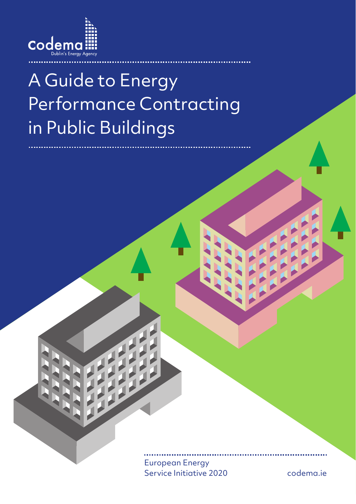

# A Guide to Energy Performance Contracting in Public Buildings

European Energy Service Initiative 2020

codema.ie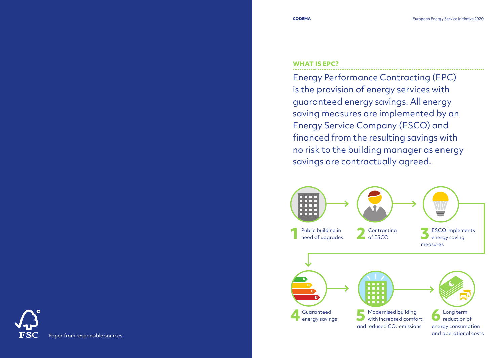#### **WHAT IS EPC?**

Energy Performance Contracting (EPC) is the provision of energy services with guaranteed energy savings. All energy saving measures are implemented by an Energy Service Company (ESCO) and financed from the resulting savings with no risk to the building manager as energy savings are contractually agreed.



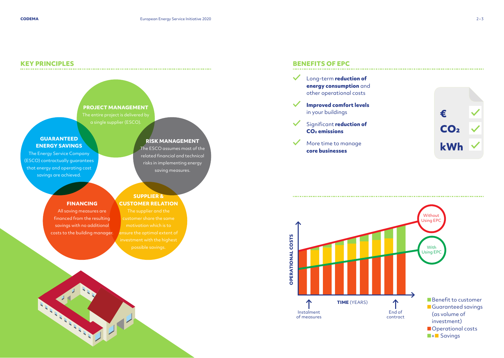#### **KEY PRINCIPLES**



**STATE OF CALL** 

# ✓ Long-term **reduction of**

**BENEFITS OF EPC**

**energy consumption** and other operational costs **Improved comfort levels** in your buildings € ✓ Significant **reduction of**  $CO<sub>2</sub>$ **CO2 emissions**  More time to manage **kWh core businesses**

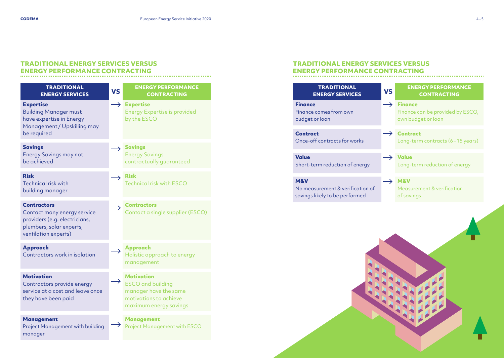# **TRADITIONAL ENERGY SERVICES VERSUS ENERGY PERFORMANCE CONTRACTING**

| <b>TRADITIONAL</b><br><b>ENERGY SERVICES</b>                                                                                           | <b>VS</b> | <b>ENERGY PERFORMANCE</b><br><b>CONTRACTING</b>                                                                            |
|----------------------------------------------------------------------------------------------------------------------------------------|-----------|----------------------------------------------------------------------------------------------------------------------------|
| <b>Expertise</b><br><b>Building Manager must</b><br>have expertise in Energy<br>Management / Upskilling may<br>be required             | →         | <b>Expertise</b><br><b>Energy Expertise is provided</b><br>by the ESCO                                                     |
| <b>Savings</b><br><b>Energy Savings may not</b><br>be achieved                                                                         |           | <b>Savings</b><br><b>Energy Savings</b><br>contractually guaranteed                                                        |
| <b>Risk</b><br><b>Technical risk with</b><br>building manager                                                                          |           | <b>Risk</b><br>Technical risk with ESCO                                                                                    |
| <b>Contractors</b><br>Contact many energy service<br>providers (e.g. electricians,<br>plumbers, solar experts,<br>ventilation experts) |           | <b>Contractors</b><br>Contact a single supplier (ESCO)                                                                     |
| <b>Approach</b><br>Contractors work in isolation                                                                                       |           | <b>Approach</b><br>Holistic approach to energy<br>management                                                               |
| <b>Motivation</b><br>Contractors provide energy<br>service at a cost and leave once<br>they have been paid                             |           | <b>Motivation</b><br><b>ESCO</b> and building<br>manager have the same<br>motivations to achieve<br>maximum energy savings |
| <b>Management</b><br>Project Management with building<br>manager                                                                       |           | <b>Management</b><br><b>Project Management with ESCO</b>                                                                   |

# **TRADITIONAL ENERGY SERVICES VERSUS ENERGY PERFORMANCE CONTRACTING**

| <b>TRADITIONAL</b><br><b>ENERGY SERVICES</b>                                         | <b>VS</b>     | <b>ENERGY PERFORMANCE</b><br><b>CONTRACTING</b>                          |
|--------------------------------------------------------------------------------------|---------------|--------------------------------------------------------------------------|
| <b>Finance</b><br>Finance comes from own<br>budget or loan                           | $\rightarrow$ | <b>Finance</b><br>Finance can be provided by ESCO,<br>own budget or loan |
| <b>Contract</b><br>Once-off contracts for works                                      |               | <b>Contract</b><br>Long-term contracts (6-15 years)                      |
| <b>Value</b><br>Short-term reduction of energy                                       |               | <b>Value</b><br>Long-term reduction of energy                            |
| <b>M&amp;V</b><br>No measurement & verification of<br>savings likely to be performed |               | <b>M&amp;V</b><br>Measurement & verification<br>of savings               |
|                                                                                      |               |                                                                          |
|                                                                                      |               |                                                                          |

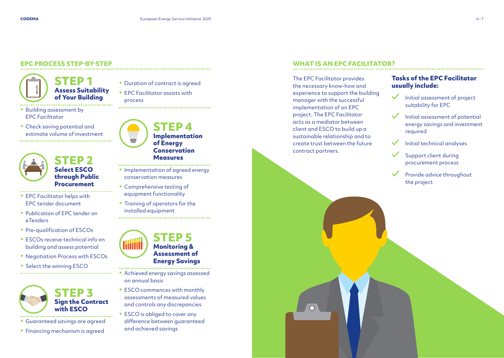# **EPC PROCESS STEP-BY-STEP**

**STEP 1 Assess Suitability of Your Building**

- Building assessment by EPC Facilitator
- Check saving potential and estimate volume of investment



# **STEP 2 Select ESCO through Public Procurement**

- EPC Facilitator helps with EPC tender document
- Publication of EPC tender on eTenders
- Pre-qualification of ESCOs
- ESCOs receive technical info on building and assess potential
- Negotiation Process with ESCOs
- Select the winning ESCO



- Guaranteed savings are agreed
- Financing mechanism is agreed

• Duration of contract is agreed • EPC Facilitator assists with process



**STEP 4 Implementation of Energy Conservation Measures**

- Implementation of agreed energy conservation measures
- Comprehensive testing of equipment functionality
- Training of operators for the installed equipment



- Achieved energy savings assessed on annual basis
- ESCO commences with monthly assessments of measured values and controls any discrepancies
- ESCO is obliged to cover any difference between guaranteed and achieved savings

## **WHAT IS AN EPC FACILITATOR?**

The EPC Facilitator provides the necessary know-how and experience to support the building manager with the successful implementation of an EPC project. The EPC Facilitator acts as a mediator between client and ESCO to build up a sustainable relationship and to create trust between the future contract partners.

## **Tasks of the EPC Facilitator usually include:**

- Initial assessment of project suitability for EPC
- Initial assessment of potential energy savings and investment required
- Initial technical analyses
- Support client during procurement process
- Provide advice throughout the project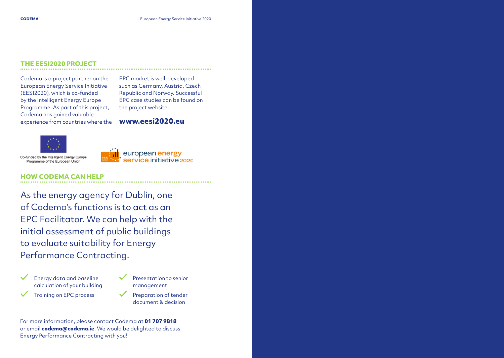### **THE EESI2020 PROJECT**

Codema is a project partner on the European Energy Service Initiative (EESI2020), which is co-funded by the Intelligent Energy Europe Programme. As part of this project, Codema has gained valuable experience from countries where the

EPC market is well-developed such as Germany, Austria, Czech Republic and Norway. Successful EPC case studies can be found on the project website:

# **www.eesi2020.eu**



Co-funded by the Intelligent Energy Europe Programme of the European Union



#### **HOW CODEMA CAN HELP**

As the energy agency for Dublin, one of Codema's functions is to act as an EPC Facilitator. We can help with the initial assessment of public buildings to evaluate suitability for Energy Performance Contracting.





Preparation of tender document & decision

For more information, please contact Codema at **01 707 9818** or email **codema@codema.ie**. We would be delighted to discuss Energy Performance Contracting with you!